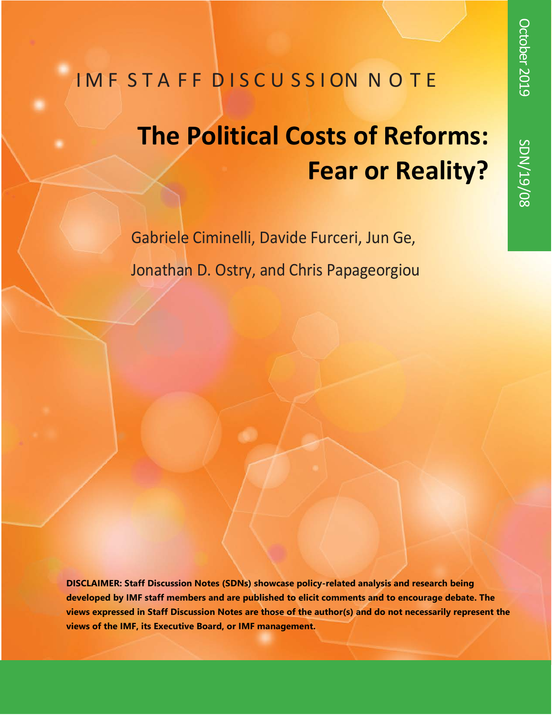# IMF STAFF DISCUSSION NOTE

# **The Political Costs of Reforms: Fear or Reality?**

Gabriele Ciminelli, Davide Furceri, Jun Ge, Jonathan D. Ostry, and Chris Papageorgiou

**DISCLAIMER: Staff Discussion Notes (SDNs) showcase policy-related analysis and research being developed by IMF staff members and are published to elicit comments and to encourage debate. The views expressed in Staff Discussion Notes are those of the author(s) and do not necessarily represent the views of the IMF, its Executive Board, or IMF management.**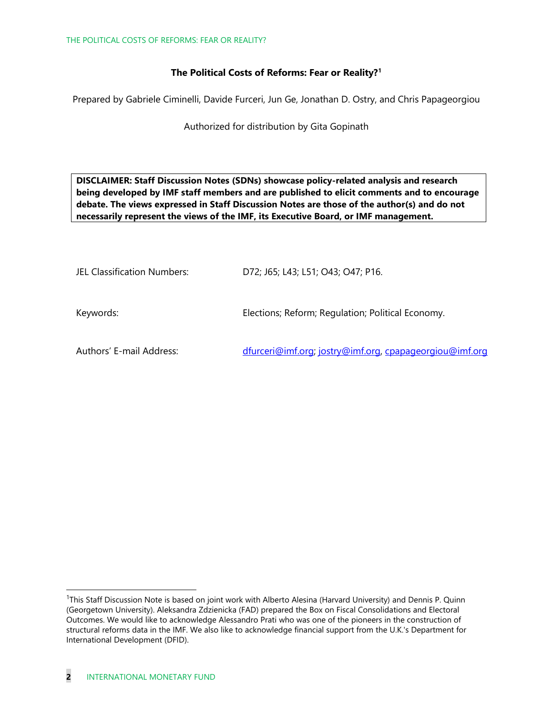#### **The Political Costs of Reforms: Fear or Reality?[1](#page-1-0)**

Prepared by Gabriele Ciminelli, Davide Furceri, Jun Ge, Jonathan D. Ostry, and Chris Papageorgiou

Authorized for distribution by Gita Gopinath

**DISCLAIMER: Staff Discussion Notes (SDNs) showcase policy-related analysis and research being developed by IMF staff members and are published to elicit comments and to encourage debate. The views expressed in Staff Discussion Notes are those of the author(s) and do not necessarily represent the views of the IMF, its Executive Board, or IMF management.**

| JEL Classification Numbers: | D72; J65; L43; L51; O43; O47; P16.                      |
|-----------------------------|---------------------------------------------------------|
| Keywords:                   | Elections; Reform; Regulation; Political Economy.       |
| Authors' E-mail Address:    | dfurceri@imf.org; jostry@imf.org, cpapageorgiou@imf.org |

<span id="page-1-0"></span><sup>&</sup>lt;sup>1</sup>This Staff Discussion Note is based on joint work with Alberto Alesina (Harvard University) and Dennis P. Quinn (Georgetown University). Aleksandra Zdzienicka (FAD) prepared the Box on Fiscal Consolidations and Electoral Outcomes. We would like to acknowledge Alessandro Prati who was one of the pioneers in the construction of structural reforms data in the IMF. We also like to acknowledge financial support from the U.K.'s Department for International Development (DFID).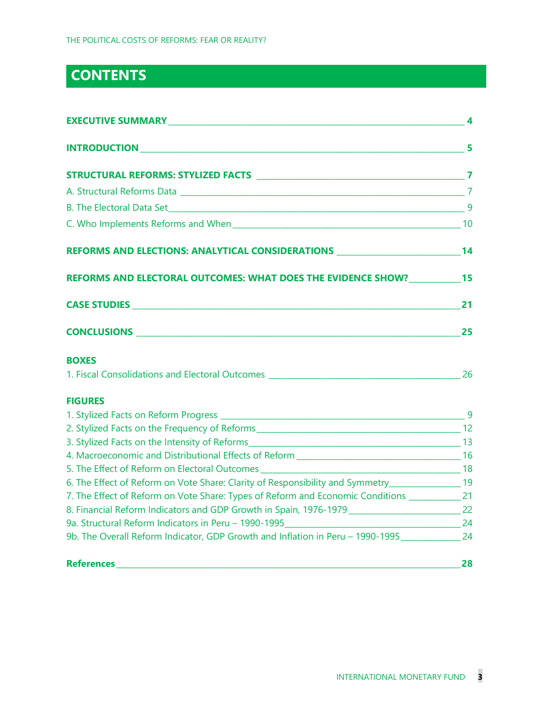### **CONTENTS**

| <b>EXECUTIVE SUMMARY 44 PARTICIPAL CONTROL</b>                                                                 |           |
|----------------------------------------------------------------------------------------------------------------|-----------|
|                                                                                                                |           |
|                                                                                                                |           |
|                                                                                                                |           |
|                                                                                                                |           |
|                                                                                                                |           |
| REFORMS AND ELECTIONS: ANALYTICAL CONSIDERATIONS ________________________________14                            |           |
| REFORMS AND ELECTORAL OUTCOMES: WHAT DOES THE EVIDENCE SHOW? 15                                                |           |
|                                                                                                                |           |
|                                                                                                                |           |
| <b>BOXES</b>                                                                                                   |           |
| 1. Fiscal Consolidations and Electoral Outcomes 2008 and 2008 and 2008 and 2008 and 2008 and 2008 and 2008 and |           |
| <b>FIGURES</b>                                                                                                 |           |
|                                                                                                                |           |
|                                                                                                                |           |
|                                                                                                                |           |
|                                                                                                                |           |
|                                                                                                                |           |
| 6. The Effect of Reform on Vote Share: Clarity of Responsibility and Symmetry__________________19              |           |
| 7. The Effect of Reform on Vote Share: Types of Reform and Economic Conditions ________________21              |           |
|                                                                                                                |           |
|                                                                                                                |           |
| 9b. The Overall Reform Indicator, GDP Growth and Inflation in Peru - 1990-1995                                 |           |
|                                                                                                                | $\sim$ 28 |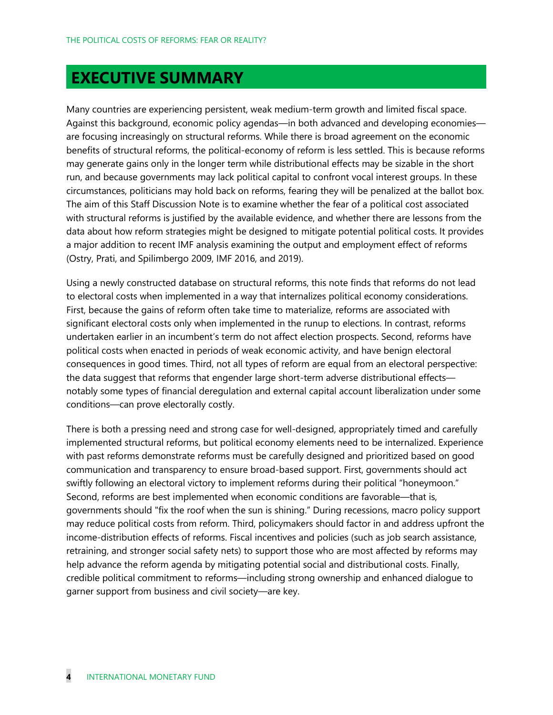### **EXECUTIVE SUMMARY**

Many countries are experiencing persistent, weak medium-term growth and limited fiscal space. Against this background, economic policy agendas—in both advanced and developing economies are focusing increasingly on structural reforms. While there is broad agreement on the economic benefits of structural reforms, the political-economy of reform is less settled. This is because reforms may generate gains only in the longer term while distributional effects may be sizable in the short run, and because governments may lack political capital to confront vocal interest groups. In these circumstances, politicians may hold back on reforms, fearing they will be penalized at the ballot box. The aim of this Staff Discussion Note is to examine whether the fear of a political cost associated with structural reforms is justified by the available evidence, and whether there are lessons from the data about how reform strategies might be designed to mitigate potential political costs. It provides a major addition to recent IMF analysis examining the output and employment effect of reforms (Ostry, Prati, and Spilimbergo 2009, IMF 2016, and 2019).

Using a newly constructed database on structural reforms, this note finds that reforms do not lead to electoral costs when implemented in a way that internalizes political economy considerations. First, because the gains of reform often take time to materialize, reforms are associated with significant electoral costs only when implemented in the runup to elections. In contrast, reforms undertaken earlier in an incumbent's term do not affect election prospects. Second, reforms have political costs when enacted in periods of weak economic activity, and have benign electoral consequences in good times. Third, not all types of reform are equal from an electoral perspective: the data suggest that reforms that engender large short-term adverse distributional effects notably some types of financial deregulation and external capital account liberalization under some conditions—can prove electorally costly.

There is both a pressing need and strong case for well-designed, appropriately timed and carefully implemented structural reforms, but political economy elements need to be internalized. Experience with past reforms demonstrate reforms must be carefully designed and prioritized based on good communication and transparency to ensure broad-based support. First, governments should act swiftly following an electoral victory to implement reforms during their political "honeymoon." Second, reforms are best implemented when economic conditions are favorable—that is, governments should "fix the roof when the sun is shining." During recessions, macro policy support may reduce political costs from reform. Third, policymakers should factor in and address upfront the income-distribution effects of reforms. Fiscal incentives and policies (such as job search assistance, retraining, and stronger social safety nets) to support those who are most affected by reforms may help advance the reform agenda by mitigating potential social and distributional costs. Finally, credible political commitment to reforms—including strong ownership and enhanced dialogue to garner support from business and civil society—are key.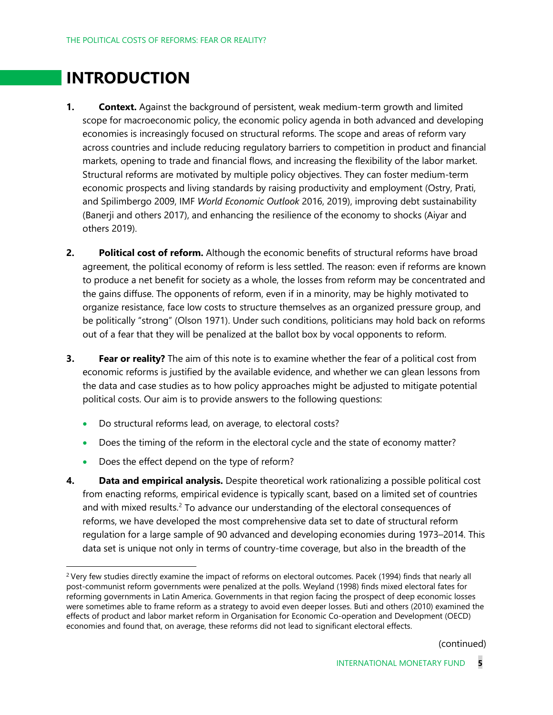### **INTRODUCTION**

- **1. Context.** Against the background of persistent, weak medium-term growth and limited scope for macroeconomic policy, the economic policy agenda in both advanced and developing economies is increasingly focused on structural reforms. The scope and areas of reform vary across countries and include reducing regulatory barriers to competition in product and financial markets, opening to trade and financial flows, and increasing the flexibility of the labor market. Structural reforms are motivated by multiple policy objectives. They can foster medium-term economic prospects and living standards by raising productivity and employment (Ostry, Prati, and Spilimbergo 2009, IMF *World Economic Outlook* 2016, 2019), improving debt sustainability (Banerji and others 2017), and enhancing the resilience of the economy to shocks (Aiyar and others 2019).
- **2. Political cost of reform.** Although the economic benefits of structural reforms have broad agreement, the political economy of reform is less settled. The reason: even if reforms are known to produce a net benefit for society as a whole, the losses from reform may be concentrated and the gains diffuse. The opponents of reform, even if in a minority, may be highly motivated to organize resistance, face low costs to structure themselves as an organized pressure group, and be politically "strong" (Olson 1971). Under such conditions, politicians may hold back on reforms out of a fear that they will be penalized at the ballot box by vocal opponents to reform.
- **3. Fear or reality?** The aim of this note is to examine whether the fear of a political cost from economic reforms is justified by the available evidence, and whether we can glean lessons from the data and case studies as to how policy approaches might be adjusted to mitigate potential political costs. Our aim is to provide answers to the following questions:
	- Do structural reforms lead, on average, to electoral costs?
	- Does the timing of the reform in the electoral cycle and the state of economy matter?
	- Does the effect depend on the type of reform?
- **4. Data and empirical analysis.** Despite theoretical work rationalizing a possible political cost from enacting reforms, empirical evidence is typically scant, based on a limited set of countries and with mixed results.<sup>[2](#page-4-0)</sup> To advance our understanding of the electoral consequences of reforms, we have developed the most comprehensive data set to date of structural reform regulation for a large sample of 90 advanced and developing economies during 1973–2014. This data set is unique not only in terms of country-time coverage, but also in the breadth of the

(continued)

<span id="page-4-0"></span><sup>&</sup>lt;sup>2</sup> Very few studies directly examine the impact of reforms on electoral outcomes. Pacek (1994) finds that nearly all post-communist reform governments were penalized at the polls. Weyland (1998) finds mixed electoral fates for reforming governments in Latin America. Governments in that region facing the prospect of deep economic losses were sometimes able to frame reform as a strategy to avoid even deeper losses. Buti and others (2010) examined the effects of product and labor market reform in Organisation for Economic Co-operation and Development (OECD) economies and found that, on average, these reforms did not lead to significant electoral effects.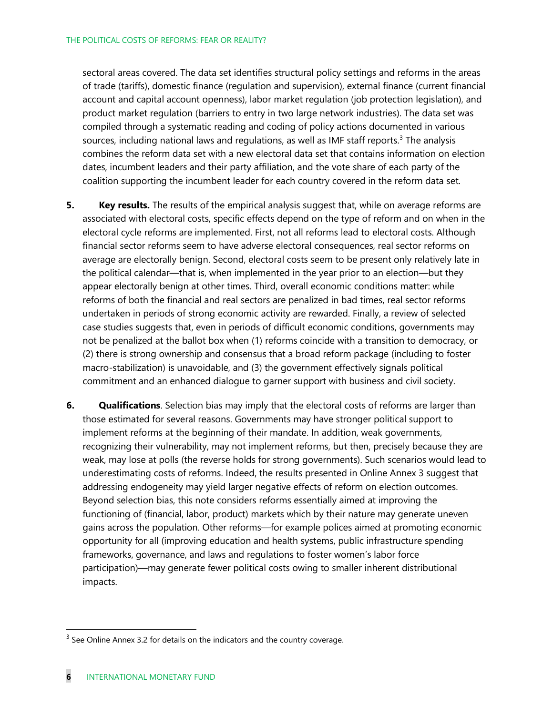sectoral areas covered. The data set identifies structural policy settings and reforms in the areas of trade (tariffs), domestic finance (regulation and supervision), external finance (current financial account and capital account openness), labor market regulation (job protection legislation), and product market regulation (barriers to entry in two large network industries). The data set was compiled through a systematic reading and coding of policy actions documented in various sources, including national laws and regulations, as well as IMF staff reports. [3](#page-5-0) The analysis combines the reform data set with a new electoral data set that contains information on election dates, incumbent leaders and their party affiliation, and the vote share of each party of the coalition supporting the incumbent leader for each country covered in the reform data set.

- **5. Key results.** The results of the empirical analysis suggest that, while on average reforms are associated with electoral costs, specific effects depend on the type of reform and on when in the electoral cycle reforms are implemented. First, not all reforms lead to electoral costs. Although financial sector reforms seem to have adverse electoral consequences, real sector reforms on average are electorally benign. Second, electoral costs seem to be present only relatively late in the political calendar—that is, when implemented in the year prior to an election—but they appear electorally benign at other times. Third, overall economic conditions matter: while reforms of both the financial and real sectors are penalized in bad times, real sector reforms undertaken in periods of strong economic activity are rewarded. Finally, a review of selected case studies suggests that, even in periods of difficult economic conditions, governments may not be penalized at the ballot box when (1) reforms coincide with a transition to democracy, or (2) there is strong ownership and consensus that a broad reform package (including to foster macro-stabilization) is unavoidable, and (3) the government effectively signals political commitment and an enhanced dialogue to garner support with business and civil society.
- **6. Qualifications**. Selection bias may imply that the electoral costs of reforms are larger than those estimated for several reasons. Governments may have stronger political support to implement reforms at the beginning of their mandate. In addition, weak governments, recognizing their vulnerability, may not implement reforms, but then, precisely because they are weak, may lose at polls (the reverse holds for strong governments). Such scenarios would lead to underestimating costs of reforms. Indeed, the results presented in Online Annex 3 suggest that addressing endogeneity may yield larger negative effects of reform on election outcomes. Beyond selection bias, this note considers reforms essentially aimed at improving the functioning of (financial, labor, product) markets which by their nature may generate uneven gains across the population. Other reforms—for example polices aimed at promoting economic opportunity for all (improving education and health systems, public infrastructure spending frameworks, governance, and laws and regulations to foster women's labor force participation)—may generate fewer political costs owing to smaller inherent distributional impacts.

<span id="page-5-0"></span> $3$  See Online Annex 3.2 for details on the indicators and the country coverage.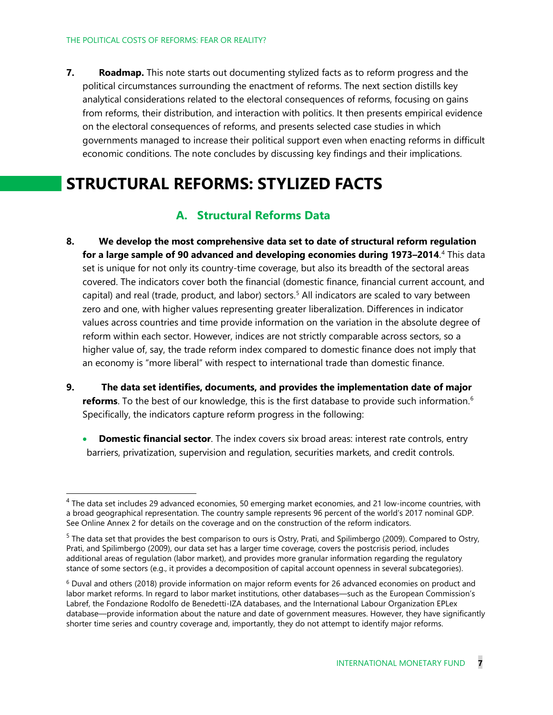**7. Roadmap.** This note starts out documenting stylized facts as to reform progress and the political circumstances surrounding the enactment of reforms. The next section distills key analytical considerations related to the electoral consequences of reforms, focusing on gains from reforms, their distribution, and interaction with politics. It then presents empirical evidence on the electoral consequences of reforms, and presents selected case studies in which governments managed to increase their political support even when enacting reforms in difficult economic conditions. The note concludes by discussing key findings and their implications.

### **STRUCTURAL REFORMS: STYLIZED FACTS**

### **A. Structural Reforms Data**

- **8. We develop the most comprehensive data set to date of structural reform regulation for a large sample of 90 advanced and developing economies during 1973–2014**. [4](#page-6-0) This data set is unique for not only its country-time coverage, but also its breadth of the sectoral areas covered. The indicators cover both the financial (domestic finance, financial current account, and capital) and real (trade, product, and labor) sectors.<sup>[5](#page-6-1)</sup> All indicators are scaled to vary between zero and one, with higher values representing greater liberalization. Differences in indicator values across countries and time provide information on the variation in the absolute degree of reform within each sector. However, indices are not strictly comparable across sectors, so a higher value of, say, the trade reform index compared to domestic finance does not imply that an economy is "more liberal" with respect to international trade than domestic finance.
- **9. The data set identifies, documents, and provides the implementation date of major reforms**. To the best of our knowledge, this is the first database to provide such information. [6](#page-6-2) Specifically, the indicators capture reform progress in the following:
	- **Domestic financial sector**. The index covers six broad areas: interest rate controls, entry barriers, privatization, supervision and regulation, securities markets, and credit controls.

<span id="page-6-0"></span> $<sup>4</sup>$  The data set includes 29 advanced economies, 50 emerging market economies, and 21 low-income countries, with</sup> a broad geographical representation. The country sample represents 96 percent of the world's 2017 nominal GDP. See Online Annex 2 for details on the coverage and on the construction of the reform indicators.

<span id="page-6-1"></span> $<sup>5</sup>$  The data set that provides the best comparison to ours is Ostry, Prati, and Spilimbergo (2009). Compared to Ostry,</sup> Prati, and Spilimbergo (2009), our data set has a larger time coverage, covers the postcrisis period, includes additional areas of regulation (labor market), and provides more granular information regarding the regulatory stance of some sectors (e.g., it provides a decomposition of capital account openness in several subcategories).

<span id="page-6-2"></span><sup>6</sup> Duval and others (2018) provide information on major reform events for 26 advanced economies on product and labor market reforms. In regard to labor market institutions, other databases—such as the European Commission's Labref, the Fondazione Rodolfo de Benedetti-IZA databases, and the International Labour Organization EPLex database—provide information about the nature and date of government measures. However, they have significantly shorter time series and country coverage and, importantly, they do not attempt to identify major reforms.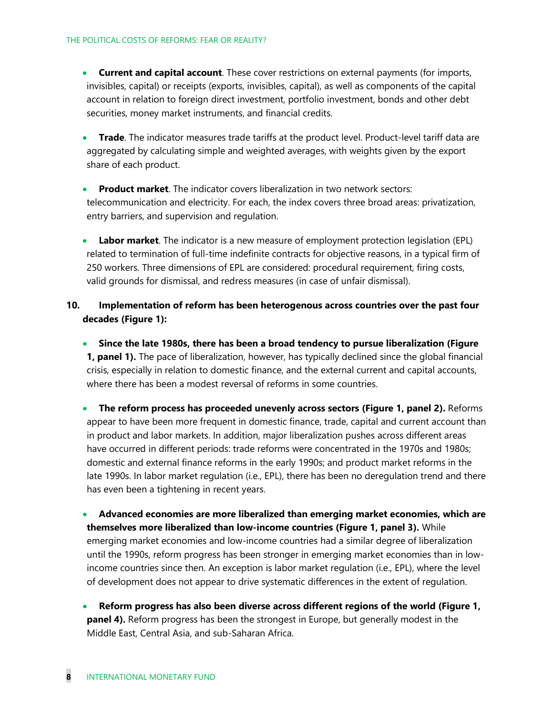- **Current and capital account**. These cover restrictions on external payments (for imports, invisibles, capital) or receipts (exports, invisibles, capital), as well as components of the capital account in relation to foreign direct investment, portfolio investment, bonds and other debt securities, money market instruments, and financial credits.
- **Trade**. The indicator measures trade tariffs at the product level. Product-level tariff data are aggregated by calculating simple and weighted averages, with weights given by the export share of each product.
- **Product market**. The indicator covers liberalization in two network sectors: telecommunication and electricity. For each, the index covers three broad areas: privatization, entry barriers, and supervision and regulation.
- **Labor market**. The indicator is a new measure of employment protection legislation (EPL) related to termination of full-time indefinite contracts for objective reasons, in a typical firm of 250 workers. Three dimensions of EPL are considered: procedural requirement, firing costs, valid grounds for dismissal, and redress measures (in case of unfair dismissal).
- **10. Implementation of reform has been heterogenous across countries over the past four decades (Figure 1):**
	- **Since the late 1980s, there has been a broad tendency to pursue liberalization (Figure 1, panel 1).** The pace of liberalization, however, has typically declined since the global financial crisis, especially in relation to domestic finance, and the external current and capital accounts, where there has been a modest reversal of reforms in some countries.
	- **The reform process has proceeded unevenly across sectors (Figure 1, panel 2).** Reforms appear to have been more frequent in domestic finance, trade, capital and current account than in product and labor markets. In addition, major liberalization pushes across different areas have occurred in different periods: trade reforms were concentrated in the 1970s and 1980s; domestic and external finance reforms in the early 1990s; and product market reforms in the late 1990s. In labor market regulation (i.e., EPL), there has been no deregulation trend and there has even been a tightening in recent years.

• **Advanced economies are more liberalized than emerging market economies, which are themselves more liberalized than low-income countries (Figure 1, panel 3).** While emerging market economies and low-income countries had a similar degree of liberalization until the 1990s, reform progress has been stronger in emerging market economies than in lowincome countries since then. An exception is labor market regulation (i.e., EPL), where the level of development does not appear to drive systematic differences in the extent of regulation.

• **Reform progress has also been diverse across different regions of the world (Figure 1, panel 4).** Reform progress has been the strongest in Europe, but generally modest in the Middle East, Central Asia, and sub-Saharan Africa.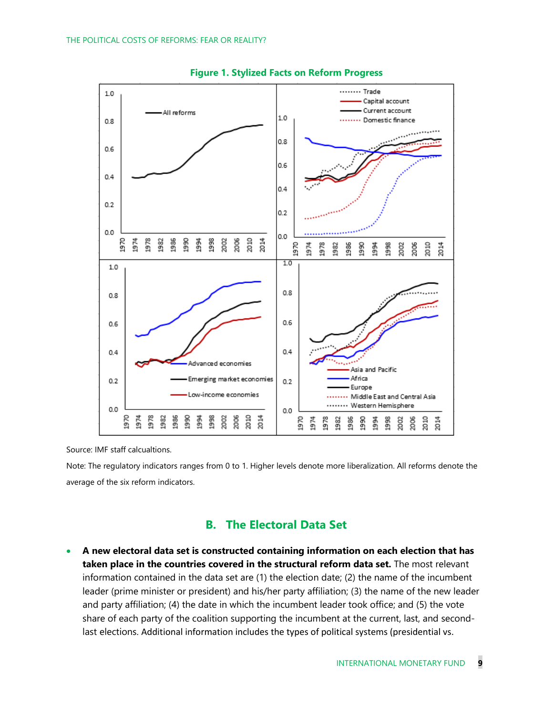



Source: IMF staff calcualtions.

Note: The regulatory indicators ranges from 0 to 1. Higher levels denote more liberalization. All reforms denote the average of the six reform indicators.

### **B. The Electoral Data Set**

• **A new electoral data set is constructed containing information on each election that has taken place in the countries covered in the structural reform data set.** The most relevant information contained in the data set are (1) the election date; (2) the name of the incumbent leader (prime minister or president) and his/her party affiliation; (3) the name of the new leader and party affiliation; (4) the date in which the incumbent leader took office; and (5) the vote share of each party of the coalition supporting the incumbent at the current, last, and secondlast elections. Additional information includes the types of political systems (presidential vs.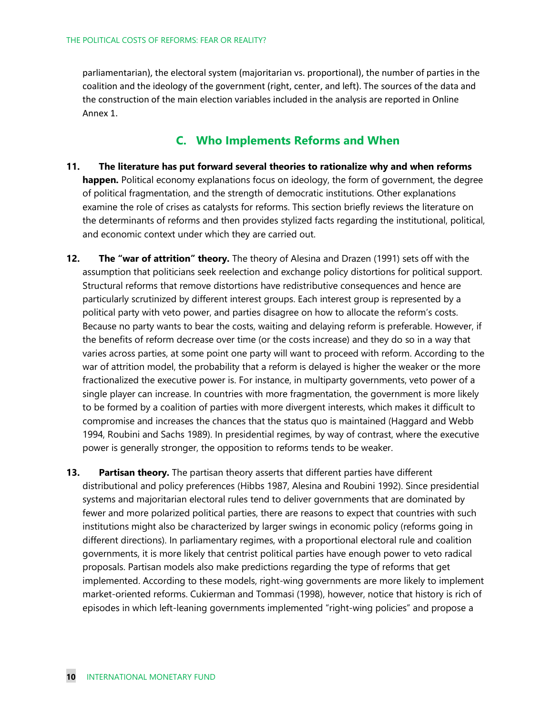parliamentarian), the electoral system (majoritarian vs. proportional), the number of parties in the coalition and the ideology of the government (right, center, and left). The sources of the data and the construction of the main election variables included in the analysis are reported in Online Annex 1.

### **C. Who Implements Reforms and When**

- **11. The literature has put forward several theories to rationalize why and when reforms happen.** Political economy explanations focus on ideology, the form of government, the degree of political fragmentation, and the strength of democratic institutions. Other explanations examine the role of crises as catalysts for reforms. This section briefly reviews the literature on the determinants of reforms and then provides stylized facts regarding the institutional, political, and economic context under which they are carried out.
- **12. The "war of attrition" theory.** The theory of Alesina and Drazen (1991) sets off with the assumption that politicians seek reelection and exchange policy distortions for political support. Structural reforms that remove distortions have redistributive consequences and hence are particularly scrutinized by different interest groups. Each interest group is represented by a political party with veto power, and parties disagree on how to allocate the reform's costs. Because no party wants to bear the costs, waiting and delaying reform is preferable. However, if the benefits of reform decrease over time (or the costs increase) and they do so in a way that varies across parties, at some point one party will want to proceed with reform. According to the war of attrition model, the probability that a reform is delayed is higher the weaker or the more fractionalized the executive power is. For instance, in multiparty governments, veto power of a single player can increase. In countries with more fragmentation, the government is more likely to be formed by a coalition of parties with more divergent interests, which makes it difficult to compromise and increases the chances that the status quo is maintained (Haggard and Webb 1994, Roubini and Sachs 1989). In presidential regimes, by way of contrast, where the executive power is generally stronger, the opposition to reforms tends to be weaker.
- **13.** Partisan theory. The partisan theory asserts that different parties have different distributional and policy preferences (Hibbs 1987, Alesina and Roubini 1992). Since presidential systems and majoritarian electoral rules tend to deliver governments that are dominated by fewer and more polarized political parties, there are reasons to expect that countries with such institutions might also be characterized by larger swings in economic policy (reforms going in different directions). In parliamentary regimes, with a proportional electoral rule and coalition governments, it is more likely that centrist political parties have enough power to veto radical proposals. Partisan models also make predictions regarding the type of reforms that get implemented. According to these models, right-wing governments are more likely to implement market-oriented reforms. Cukierman and Tommasi (1998), however, notice that history is rich of episodes in which left-leaning governments implemented "right-wing policies" and propose a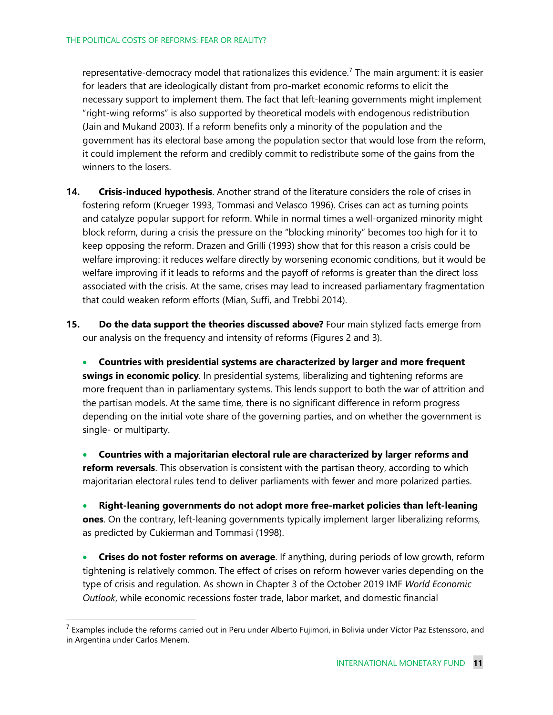representative-democracy model that rationalizes this evidence.<sup>[7](#page-10-0)</sup> The main argument: it is easier for leaders that are ideologically distant from pro-market economic reforms to elicit the necessary support to implement them. The fact that left-leaning governments might implement "right-wing reforms" is also supported by theoretical models with endogenous redistribution (Jain and Mukand 2003). If a reform benefits only a minority of the population and the government has its electoral base among the population sector that would lose from the reform, it could implement the reform and credibly commit to redistribute some of the gains from the winners to the losers.

- **14. Crisis-induced hypothesis**. Another strand of the literature considers the role of crises in fostering reform (Krueger 1993, Tommasi and Velasco 1996). Crises can act as turning points and catalyze popular support for reform. While in normal times a well-organized minority might block reform, during a crisis the pressure on the "blocking minority" becomes too high for it to keep opposing the reform. Drazen and Grilli (1993) show that for this reason a crisis could be welfare improving: it reduces welfare directly by worsening economic conditions, but it would be welfare improving if it leads to reforms and the payoff of reforms is greater than the direct loss associated with the crisis. At the same, crises may lead to increased parliamentary fragmentation that could weaken reform efforts (Mian, Suffi, and Trebbi 2014).
- **15. Do the data support the theories discussed above?** Four main stylized facts emerge from our analysis on the frequency and intensity of reforms (Figures 2 and 3).

• **Countries with presidential systems are characterized by larger and more frequent swings in economic policy**. In presidential systems, liberalizing and tightening reforms are more frequent than in parliamentary systems. This lends support to both the war of attrition and the partisan models. At the same time, there is no significant difference in reform progress depending on the initial vote share of the governing parties, and on whether the government is single- or multiparty.

• **Countries with a majoritarian electoral rule are characterized by larger reforms and reform reversals**. This observation is consistent with the partisan theory, according to which majoritarian electoral rules tend to deliver parliaments with fewer and more polarized parties.

• **Right-leaning governments do not adopt more free-market policies than left-leaning ones**. On the contrary, left-leaning governments typically implement larger liberalizing reforms, as predicted by Cukierman and Tommasi (1998).

• **Crises do not foster reforms on average**. If anything, during periods of low growth, reform tightening is relatively common. The effect of crises on reform however varies depending on the type of crisis and regulation. As shown in Chapter 3 of the October 2019 IMF *World Economic Outlook*, while economic recessions foster trade, labor market, and domestic financial

<span id="page-10-0"></span> $^7$  Examples include the reforms carried out in Peru under Alberto Fujimori, in Bolivia under Víctor Paz Estenssoro, and in Argentina under Carlos Menem.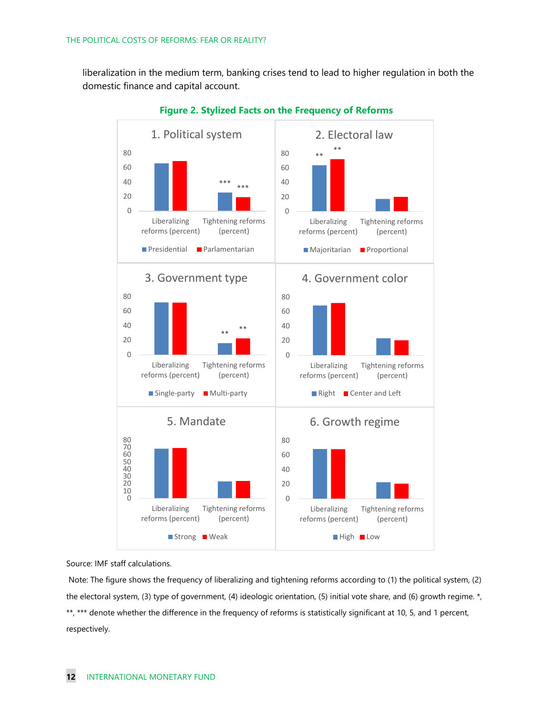liberalization in the medium term, banking crises tend to lead to higher regulation in both the domestic finance and capital account.



**Figure 2. Stylized Facts on the Frequency of Reforms**

#### Source: IMF staff calculations.

Note: The figure shows the frequency of liberalizing and tightening reforms according to (1) the political system, (2) the electoral system, (3) type of government, (4) ideologic orientation, (5) initial vote share, and (6) growth regime. \*, \*\*, \*\*\* denote whether the difference in the frequency of reforms is statistically significant at 10, 5, and 1 percent, respectively.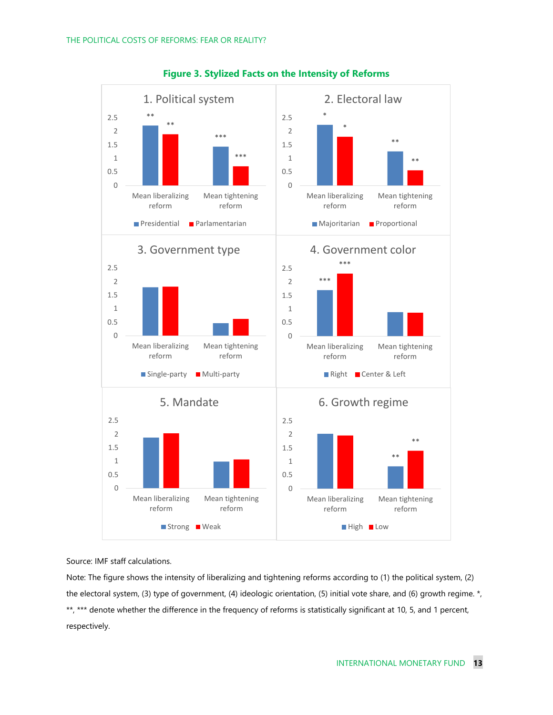

**Figure 3. Stylized Facts on the Intensity of Reforms**

Source: IMF staff calculations.

Note: The figure shows the intensity of liberalizing and tightening reforms according to (1) the political system, (2) the electoral system, (3) type of government, (4) ideologic orientation, (5) initial vote share, and (6) growth regime. \*, \*\*, \*\*\* denote whether the difference in the frequency of reforms is statistically significant at 10, 5, and 1 percent, respectively.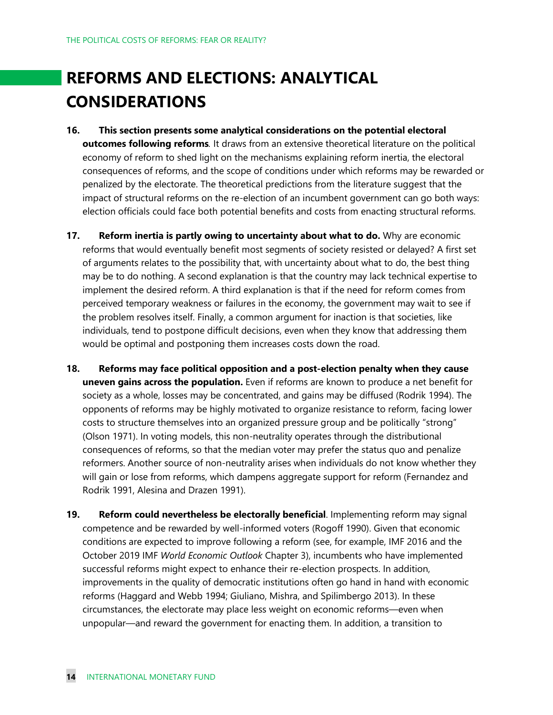# **REFORMS AND ELECTIONS: ANALYTICAL CONSIDERATIONS**

- **16. This section presents some analytical considerations on the potential electoral outcomes following reforms***.* It draws from an extensive theoretical literature on the political economy of reform to shed light on the mechanisms explaining reform inertia, the electoral consequences of reforms, and the scope of conditions under which reforms may be rewarded or penalized by the electorate. The theoretical predictions from the literature suggest that the impact of structural reforms on the re-election of an incumbent government can go both ways: election officials could face both potential benefits and costs from enacting structural reforms.
- **17. Reform inertia is partly owing to uncertainty about what to do.** Why are economic reforms that would eventually benefit most segments of society resisted or delayed? A first set of arguments relates to the possibility that, with uncertainty about what to do, the best thing may be to do nothing. A second explanation is that the country may lack technical expertise to implement the desired reform. A third explanation is that if the need for reform comes from perceived temporary weakness or failures in the economy, the government may wait to see if the problem resolves itself. Finally, a common argument for inaction is that societies, like individuals, tend to postpone difficult decisions, even when they know that addressing them would be optimal and postponing them increases costs down the road.
- **18. Reforms may face political opposition and a post-election penalty when they cause uneven gains across the population.** Even if reforms are known to produce a net benefit for society as a whole, losses may be concentrated, and gains may be diffused (Rodrik 1994). The opponents of reforms may be highly motivated to organize resistance to reform, facing lower costs to structure themselves into an organized pressure group and be politically "strong" (Olson 1971). In voting models, this non-neutrality operates through the distributional consequences of reforms, so that the median voter may prefer the status quo and penalize reformers. Another source of non-neutrality arises when individuals do not know whether they will gain or lose from reforms, which dampens aggregate support for reform (Fernandez and Rodrik 1991, Alesina and Drazen 1991).
- **19. Reform could nevertheless be electorally beneficial**. Implementing reform may signal competence and be rewarded by well-informed voters (Rogoff 1990). Given that economic conditions are expected to improve following a reform (see, for example, IMF 2016 and the October 2019 IMF *World Economic Outlook* Chapter 3), incumbents who have implemented successful reforms might expect to enhance their re-election prospects. In addition, improvements in the quality of democratic institutions often go hand in hand with economic reforms (Haggard and Webb 1994; Giuliano, Mishra, and Spilimbergo 2013). In these circumstances, the electorate may place less weight on economic reforms—even when unpopular—and reward the government for enacting them. In addition, a transition to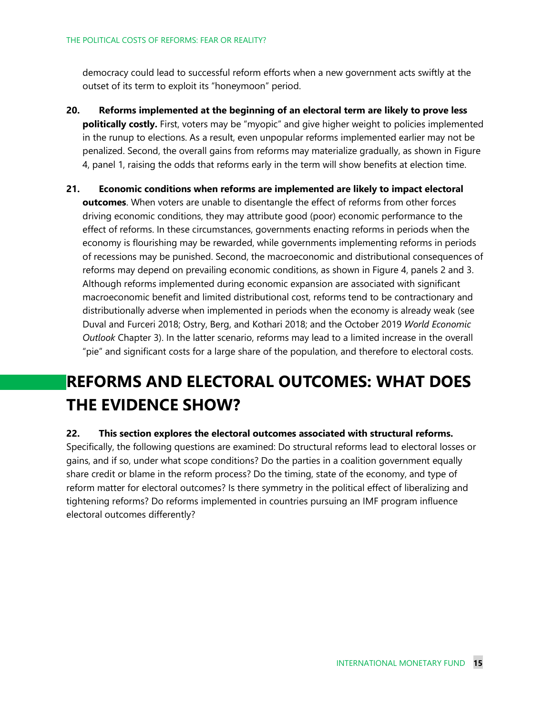democracy could lead to successful reform efforts when a new government acts swiftly at the outset of its term to exploit its "honeymoon" period.

- **20. Reforms implemented at the beginning of an electoral term are likely to prove less politically costly.** First, voters may be "myopic" and give higher weight to policies implemented in the runup to elections. As a result, even unpopular reforms implemented earlier may not be penalized. Second, the overall gains from reforms may materialize gradually, as shown in Figure 4, panel 1, raising the odds that reforms early in the term will show benefits at election time.
- **21. Economic conditions when reforms are implemented are likely to impact electoral outcomes**. When voters are unable to disentangle the effect of reforms from other forces driving economic conditions, they may attribute good (poor) economic performance to the effect of reforms. In these circumstances, governments enacting reforms in periods when the economy is flourishing may be rewarded, while governments implementing reforms in periods of recessions may be punished. Second, the macroeconomic and distributional consequences of reforms may depend on prevailing economic conditions, as shown in Figure 4, panels 2 and 3. Although reforms implemented during economic expansion are associated with significant macroeconomic benefit and limited distributional cost, reforms tend to be contractionary and distributionally adverse when implemented in periods when the economy is already weak (see Duval and Furceri 2018; Ostry, Berg, and Kothari 2018; and the October 2019 *World Economic Outlook* Chapter 3). In the latter scenario, reforms may lead to a limited increase in the overall "pie" and significant costs for a large share of the population, and therefore to electoral costs.

## **REFORMS AND ELECTORAL OUTCOMES: WHAT DOES THE EVIDENCE SHOW?**

#### **22. This section explores the electoral outcomes associated with structural reforms.**

Specifically, the following questions are examined: Do structural reforms lead to electoral losses or gains, and if so, under what scope conditions? Do the parties in a coalition government equally share credit or blame in the reform process? Do the timing, state of the economy, and type of reform matter for electoral outcomes? Is there symmetry in the political effect of liberalizing and tightening reforms? Do reforms implemented in countries pursuing an IMF program influence electoral outcomes differently?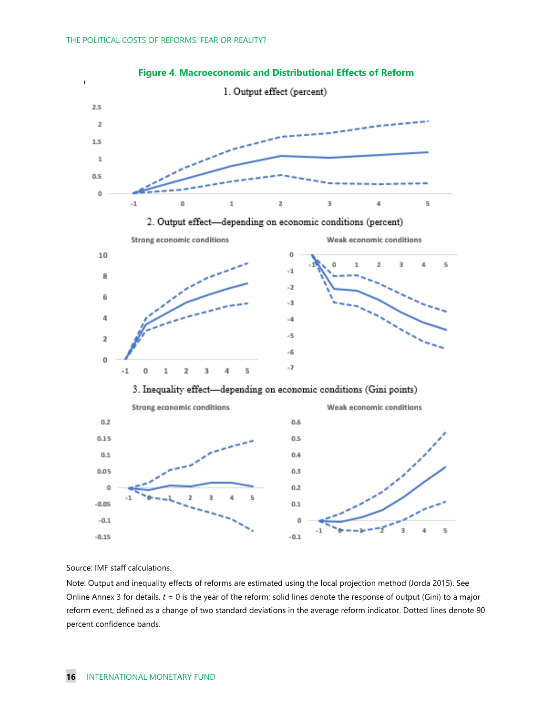



Source: IMF staff calculations.

Note: Output and inequality effects of reforms are estimated using the local projection method (Jorda 2015). See Online Annex 3 for details.  $t = 0$  is the year of the reform; solid lines denote the response of output (Gini) to a major reform event, defined as a change of two standard deviations in the average reform indicator. Dotted lines denote 90 percent confidence bands.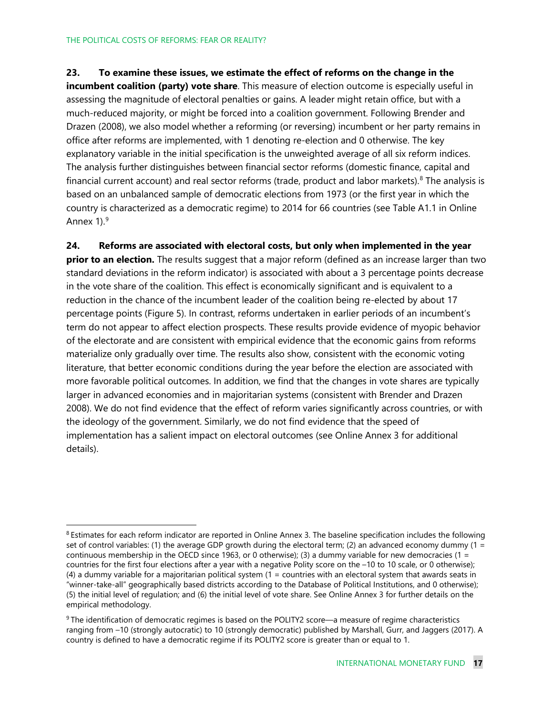#### **23. To examine these issues, we estimate the effect of reforms on the change in the**

**incumbent coalition (party) vote share**. This measure of election outcome is especially useful in assessing the magnitude of electoral penalties or gains. A leader might retain office, but with a much-reduced majority, or might be forced into a coalition government. Following Brender and Drazen (2008), we also model whether a reforming (or reversing) incumbent or her party remains in office after reforms are implemented, with 1 denoting re-election and 0 otherwise. The key explanatory variable in the initial specification is the unweighted average of all six reform indices. The analysis further distinguishes between financial sector reforms (domestic finance, capital and financial current account) and real sector reforms (trade, product and labor markets). $8$  The analysis is based on an unbalanced sample of democratic elections from 1973 (or the first year in which the country is characterized as a democratic regime) to 2014 for 66 countries (see Table A1.1 in Online Annex 1).<sup>[9](#page-16-1)</sup>

**24. Reforms are associated with electoral costs, but only when implemented in the year prior to an election.** The results suggest that a major reform (defined as an increase larger than two standard deviations in the reform indicator) is associated with about a 3 percentage points decrease in the vote share of the coalition. This effect is economically significant and is equivalent to a reduction in the chance of the incumbent leader of the coalition being re-elected by about 17 percentage points (Figure 5). In contrast, reforms undertaken in earlier periods of an incumbent's term do not appear to affect election prospects. These results provide evidence of myopic behavior of the electorate and are consistent with empirical evidence that the economic gains from reforms materialize only gradually over time. The results also show, consistent with the economic voting literature, that better economic conditions during the year before the election are associated with more favorable political outcomes. In addition, we find that the changes in vote shares are typically larger in advanced economies and in majoritarian systems (consistent with Brender and Drazen 2008). We do not find evidence that the effect of reform varies significantly across countries, or with the ideology of the government. Similarly, we do not find evidence that the speed of implementation has a salient impact on electoral outcomes (see Online Annex 3 for additional details).

<span id="page-16-0"></span><sup>&</sup>lt;sup>8</sup> Estimates for each reform indicator are reported in Online Annex 3. The baseline specification includes the following set of control variables: (1) the average GDP growth during the electoral term; (2) an advanced economy dummy (1 = continuous membership in the OECD since 1963, or 0 otherwise); (3) a dummy variable for new democracies (1 = countries for the first four elections after a year with a negative Polity score on the –10 to 10 scale, or 0 otherwise); (4) a dummy variable for a majoritarian political system (1 = countries with an electoral system that awards seats in "winner-take-all" geographically based districts according to the Database of Political Institutions, and 0 otherwise); (5) the initial level of regulation; and (6) the initial level of vote share. See Online Annex 3 for further details on the empirical methodology.

<span id="page-16-1"></span><sup>&</sup>lt;sup>9</sup> The identification of democratic regimes is based on the POLITY2 score—a measure of regime characteristics ranging from –10 (strongly autocratic) to 10 (strongly democratic) published by Marshall, Gurr, and Jaggers (2017). A country is defined to have a democratic regime if its POLITY2 score is greater than or equal to 1.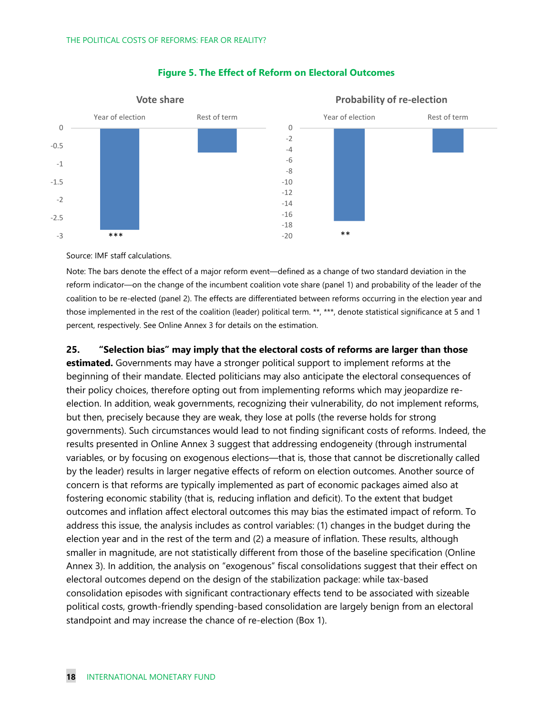

#### **Figure 5. The Effect of Reform on Electoral Outcomes**

Source: IMF staff calculations.

Note: The bars denote the effect of a major reform event—defined as a change of two standard deviation in the reform indicator—on the change of the incumbent coalition vote share (panel 1) and probability of the leader of the coalition to be re-elected (panel 2). The effects are differentiated between reforms occurring in the election year and those implemented in the rest of the coalition (leader) political term. \*\*, \*\*\*, denote statistical significance at 5 and 1 percent, respectively. See Online Annex 3 for details on the estimation.

**25. "Selection bias" may imply that the electoral costs of reforms are larger than those** 

**estimated.** Governments may have a stronger political support to implement reforms at the beginning of their mandate. Elected politicians may also anticipate the electoral consequences of their policy choices, therefore opting out from implementing reforms which may jeopardize reelection. In addition, weak governments, recognizing their vulnerability, do not implement reforms, but then, precisely because they are weak, they lose at polls (the reverse holds for strong governments). Such circumstances would lead to not finding significant costs of reforms. Indeed, the results presented in Online Annex 3 suggest that addressing endogeneity (through instrumental variables, or by focusing on exogenous elections—that is, those that cannot be discretionally called by the leader) results in larger negative effects of reform on election outcomes. Another source of concern is that reforms are typically implemented as part of economic packages aimed also at fostering economic stability (that is, reducing inflation and deficit). To the extent that budget outcomes and inflation affect electoral outcomes this may bias the estimated impact of reform. To address this issue, the analysis includes as control variables: (1) changes in the budget during the election year and in the rest of the term and (2) a measure of inflation. These results, although smaller in magnitude, are not statistically different from those of the baseline specification (Online Annex 3). In addition, the analysis on "exogenous" fiscal consolidations suggest that their effect on electoral outcomes depend on the design of the stabilization package: while tax-based consolidation episodes with significant contractionary effects tend to be associated with sizeable political costs, growth-friendly spending-based consolidation are largely benign from an electoral standpoint and may increase the chance of re-election (Box 1).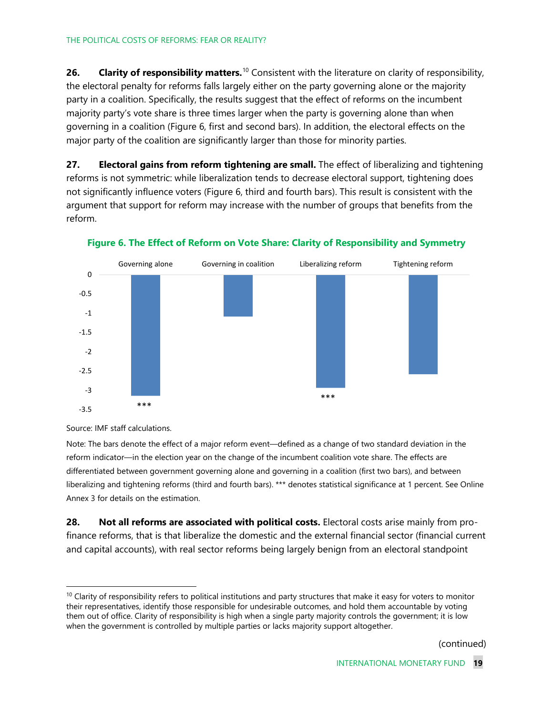**26. Clarity of responsibilit***y* **matters.**[10](#page-18-0) Consistent with the literature on clarity of responsibility, the electoral penalty for reforms falls largely either on the party governing alone or the majority party in a coalition. Specifically, the results suggest that the effect of reforms on the incumbent majority party's vote share is three times larger when the party is governing alone than when governing in a coalition (Figure 6, first and second bars). In addition, the electoral effects on the major party of the coalition are significantly larger than those for minority parties.

**27. Electoral gains from reform tightening are small.** The effect of liberalizing and tightening reforms is not symmetric: while liberalization tends to decrease electoral support, tightening does not significantly influence voters (Figure 6, third and fourth bars). This result is consistent with the argument that support for reform may increase with the number of groups that benefits from the reform.



**Figure 6. The Effect of Reform on Vote Share: Clarity of Responsibility and Symmetry**

Source: IMF staff calculations.

Note: The bars denote the effect of a major reform event—defined as a change of two standard deviation in the reform indicator—in the election year on the change of the incumbent coalition vote share. The effects are differentiated between government governing alone and governing in a coalition (first two bars), and between liberalizing and tightening reforms (third and fourth bars). \*\*\* denotes statistical significance at 1 percent. See Online Annex 3 for details on the estimation.

**28. Not all reforms are associated with political costs.** Electoral costs arise mainly from profinance reforms, that is that liberalize the domestic and the external financial sector (financial current and capital accounts), with real sector reforms being largely benign from an electoral standpoint

(continued)

<span id="page-18-0"></span> $10$  Clarity of responsibility refers to political institutions and party structures that make it easy for voters to monitor their representatives, identify those responsible for undesirable outcomes, and hold them accountable by voting them out of office. Clarity of responsibility is high when a single party majority controls the government; it is low when the government is controlled by multiple parties or lacks majority support altogether.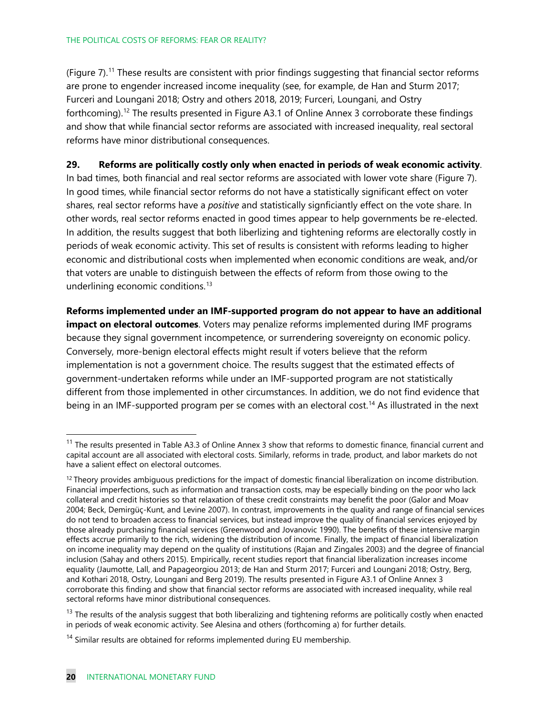#### THE POLITICAL COSTS OF REFORMS: FEAR OR REALITY?

(Figure  $7$ ).<sup>[11](#page-19-0)</sup> These results are consistent with prior findings suggesting that financial sector reforms are prone to engender increased income inequality (see, for example, de Han and Sturm 2017; Furceri and Loungani 2018; Ostry and others 2018, 2019; Furceri, Loungani, and Ostry forthcoming).<sup>[12](#page-19-1)</sup> The results presented in Figure A3.1 of Online Annex 3 corroborate these findings and show that while financial sector reforms are associated with increased inequality, real sectoral reforms have minor distributional consequences.

#### **29. Reforms are politically costly only when enacted in periods of weak economic activity**.

In bad times, both financial and real sector reforms are associated with lower vote share (Figure 7). In good times, while financial sector reforms do not have a statistically significant effect on voter shares, real sector reforms have a *positive* and statistically signficiantly effect on the vote share. In other words, real sector reforms enacted in good times appear to help governments be re-elected. In addition, the results suggest that both liberlizing and tightening reforms are electorally costly in periods of weak economic activity. This set of results is consistent with reforms leading to higher economic and distributional costs when implemented when economic conditions are weak, and/or that voters are unable to distinguish between the effects of reform from those owing to the underlining economic conditions.<sup>[13](#page-19-2)</sup>

**Reforms implemented under an IMF-supported program do not appear to have an additional impact on electoral outcomes**. Voters may penalize reforms implemented during IMF programs because they signal government incompetence, or surrendering sovereignty on economic policy. Conversely, more-benign electoral effects might result if voters believe that the reform implementation is not a government choice. The results suggest that the estimated effects of government-undertaken reforms while under an IMF-supported program are not statistically different from those implemented in other circumstances. In addition, we do not find evidence that being in an IMF-supported program per se comes with an electoral cost.<sup>[14](#page-19-3)</sup> As illustrated in the next

<span id="page-19-0"></span><sup>&</sup>lt;sup>11</sup> The results presented in Table A3.3 of Online Annex 3 show that reforms to domestic finance, financial current and capital account are all associated with electoral costs. Similarly, reforms in trade, product, and labor markets do not have a salient effect on electoral outcomes.

<span id="page-19-1"></span> $12$  Theory provides ambiguous predictions for the impact of domestic financial liberalization on income distribution. Financial imperfections, such as information and transaction costs, may be especially binding on the poor who lack collateral and credit histories so that relaxation of these credit constraints may benefit the poor (Galor and Moav 2004; Beck, Demirgüç-Kunt, and Levine 2007). In contrast, improvements in the quality and range of financial services do not tend to broaden access to financial services, but instead improve the quality of financial services enjoyed by those already purchasing financial services (Greenwood and Jovanovic 1990). The benefits of these intensive margin effects accrue primarily to the rich, widening the distribution of income. Finally, the impact of financial liberalization on income inequality may depend on the quality of institutions (Rajan and Zingales 2003) and the degree of financial inclusion (Sahay and others 2015). Empirically, recent studies report that financial liberalization increases income equality (Jaumotte, Lall, and Papageorgiou 2013; de Han and Sturm 2017; Furceri and Loungani 2018; Ostry, Berg, and Kothari 2018, Ostry, Loungani and Berg 2019). The results presented in Figure A3.1 of Online Annex 3 corroborate this finding and show that financial sector reforms are associated with increased inequality, while real sectoral reforms have minor distributional consequences.

<span id="page-19-2"></span> $13$  The results of the analysis suggest that both liberalizing and tightening reforms are politically costly when enacted in periods of weak economic activity. See Alesina and others (forthcoming a) for further details.

<span id="page-19-3"></span> $14$  Similar results are obtained for reforms implemented during EU membership.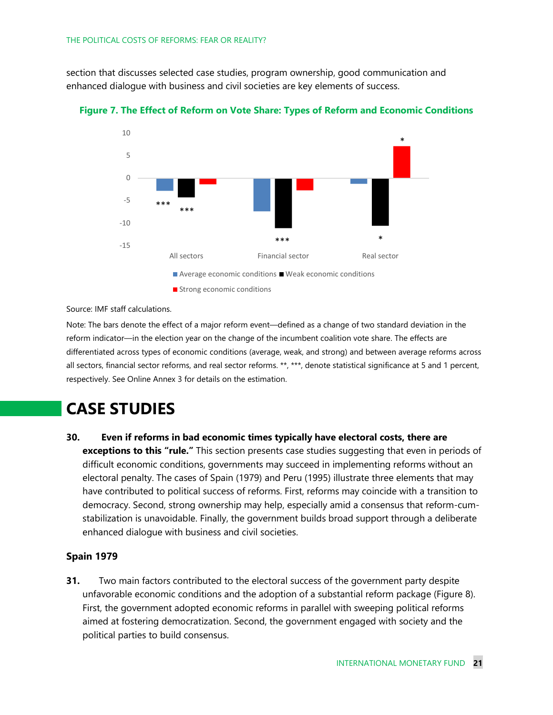section that discusses selected case studies, program ownership, good communication and enhanced dialogue with business and civil societies are key elements of success.



**Figure 7. The Effect of Reform on Vote Share: Types of Reform and Economic Conditions**

Source: IMF staff calculations.

Note: The bars denote the effect of a major reform event—defined as a change of two standard deviation in the reform indicator—in the election year on the change of the incumbent coalition vote share. The effects are differentiated across types of economic conditions (average, weak, and strong) and between average reforms across all sectors, financial sector reforms, and real sector reforms. \*\*, \*\*\*, denote statistical significance at 5 and 1 percent, respectively. See Online Annex 3 for details on the estimation.

### **CASE STUDIES**

**30. Even if reforms in bad economic times typically have electoral costs, there are exceptions to this "rule."** This section presents case studies suggesting that even in periods of difficult economic conditions, governments may succeed in implementing reforms without an electoral penalty. The cases of Spain (1979) and Peru (1995) illustrate three elements that may have contributed to political success of reforms. First, reforms may coincide with a transition to democracy. Second, strong ownership may help, especially amid a consensus that reform-cumstabilization is unavoidable. Finally, the government builds broad support through a deliberate enhanced dialogue with business and civil societies.

#### **Spain 1979**

**31.** Two main factors contributed to the electoral success of the government party despite unfavorable economic conditions and the adoption of a substantial reform package (Figure 8). First, the government adopted economic reforms in parallel with sweeping political reforms aimed at fostering democratization. Second, the government engaged with society and the political parties to build consensus.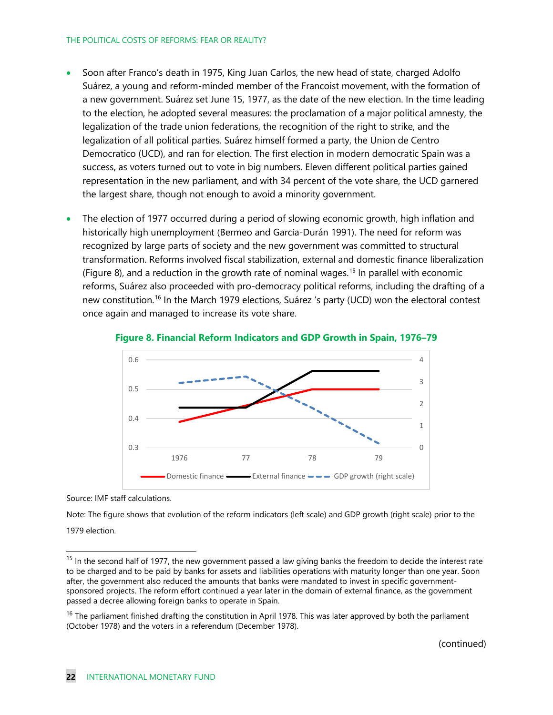#### THE POLITICAL COSTS OF REFORMS: FEAR OR REALITY?

- Soon after Franco's death in 1975, King Juan Carlos, the new head of state, charged Adolfo Suárez, a young and reform-minded member of the Francoist movement, with the formation of a new government. Suárez set June 15, 1977, as the date of the new election. In the time leading to the election, he adopted several measures: the proclamation of a major political amnesty, the legalization of the trade union federations, the recognition of the right to strike, and the legalization of all political parties. Suárez himself formed a party, the Union de Centro Democratico (UCD), and ran for election. The first election in modern democratic Spain was a success, as voters turned out to vote in big numbers. Eleven different political parties gained representation in the new parliament, and with 34 percent of the vote share, the UCD garnered the largest share, though not enough to avoid a minority government.
- The election of 1977 occurred during a period of slowing economic growth, high inflation and historically high unemployment (Bermeo and García-Durán 1991). The need for reform was recognized by large parts of society and the new government was committed to structural transformation. Reforms involved fiscal stabilization, external and domestic finance liberalization (Figure 8), and a reduction in the growth rate of nominal wages.<sup>[15](#page-21-0)</sup> In parallel with economic reforms, Suárez also proceeded with pro-democracy political reforms, including the drafting of a new constitution.<sup>[16](#page-21-1)</sup> In the March 1979 elections, Suárez 's party (UCD) won the electoral contest once again and managed to increase its vote share.





Source: IMF staff calculations.

Note: The figure shows that evolution of the reform indicators (left scale) and GDP growth (right scale) prior to the 1979 election.

<span id="page-21-0"></span><sup>&</sup>lt;sup>15</sup> In the second half of 1977, the new government passed a law giving banks the freedom to decide the interest rate to be charged and to be paid by banks for assets and liabilities operations with maturity longer than one year. Soon after, the government also reduced the amounts that banks were mandated to invest in specific governmentsponsored projects. The reform effort continued a year later in the domain of external finance, as the government passed a decree allowing foreign banks to operate in Spain.

<span id="page-21-1"></span> $16$  The parliament finished drafting the constitution in April 1978. This was later approved by both the parliament (October 1978) and the voters in a referendum (December 1978).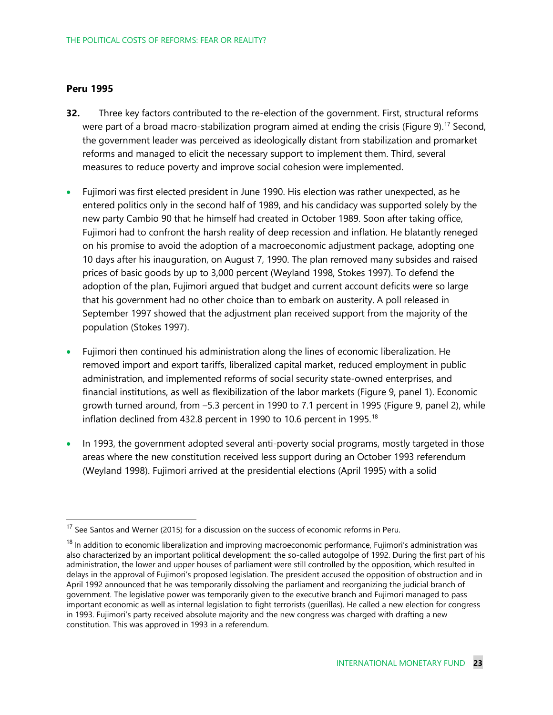#### **Peru 1995**

- **32.** Three key factors contributed to the re-election of the government. First, structural reforms were part of a broad macro-stabilization program aimed at ending the crisis (Figure 9).<sup>[17](#page-22-0)</sup> Second, the government leader was perceived as ideologically distant from stabilization and promarket reforms and managed to elicit the necessary support to implement them. Third, several measures to reduce poverty and improve social cohesion were implemented.
- Fujimori was first elected president in June 1990. His election was rather unexpected, as he entered politics only in the second half of 1989, and his candidacy was supported solely by the new party Cambio 90 that he himself had created in October 1989. Soon after taking office, Fujimori had to confront the harsh reality of deep recession and inflation. He blatantly reneged on his promise to avoid the adoption of a macroeconomic adjustment package, adopting one 10 days after his inauguration, on August 7, 1990. The plan removed many subsides and raised prices of basic goods by up to 3,000 percent (Weyland 1998, Stokes 1997). To defend the adoption of the plan, Fujimori argued that budget and current account deficits were so large that his government had no other choice than to embark on austerity. A poll released in September 1997 showed that the adjustment plan received support from the majority of the population (Stokes 1997).
- Fujimori then continued his administration along the lines of economic liberalization. He removed import and export tariffs, liberalized capital market, reduced employment in public administration, and implemented reforms of social security state-owned enterprises, and financial institutions, as well as flexibilization of the labor markets (Figure 9, panel 1). Economic growth turned around, from –5.3 percent in 1990 to 7.1 percent in 1995 (Figure 9, panel 2), while inflation declined from 432.8 percent in 1990 to 10.6 percent in 1995.<sup>[18](#page-22-1)</sup>
- In 1993, the government adopted several anti-poverty social programs, mostly targeted in those areas where the new constitution received less support during an October 1993 referendum (Weyland 1998). Fujimori arrived at the presidential elections (April 1995) with a solid

<span id="page-22-0"></span> $17$  See Santos and Werner (2015) for a discussion on the success of economic reforms in Peru.

<span id="page-22-1"></span><sup>&</sup>lt;sup>18</sup> In addition to economic liberalization and improving macroeconomic performance, Fujimori's administration was also characterized by an important political development: the so-called autogolpe of 1992. During the first part of his administration, the lower and upper houses of parliament were still controlled by the opposition, which resulted in delays in the approval of Fujimori's proposed legislation. The president accused the opposition of obstruction and in April 1992 announced that he was temporarily dissolving the parliament and reorganizing the judicial branch of government. The legislative power was temporarily given to the executive branch and Fujimori managed to pass important economic as well as internal legislation to fight terrorists (guerillas). He called a new election for congress in 1993. Fujimori's party received absolute majority and the new congress was charged with drafting a new constitution. This was approved in 1993 in a referendum.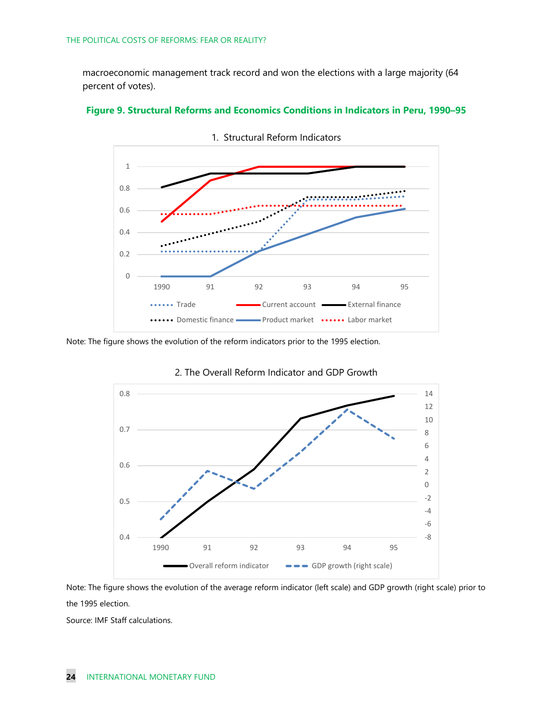macroeconomic management track record and won the elections with a large majority (64 percent of votes).





Note: The figure shows the evolution of the reform indicators prior to the 1995 election.



2. The Overall Reform Indicator and GDP Growth

Note: The figure shows the evolution of the average reform indicator (left scale) and GDP growth (right scale) prior to the 1995 election.

Source: IMF Staff calculations.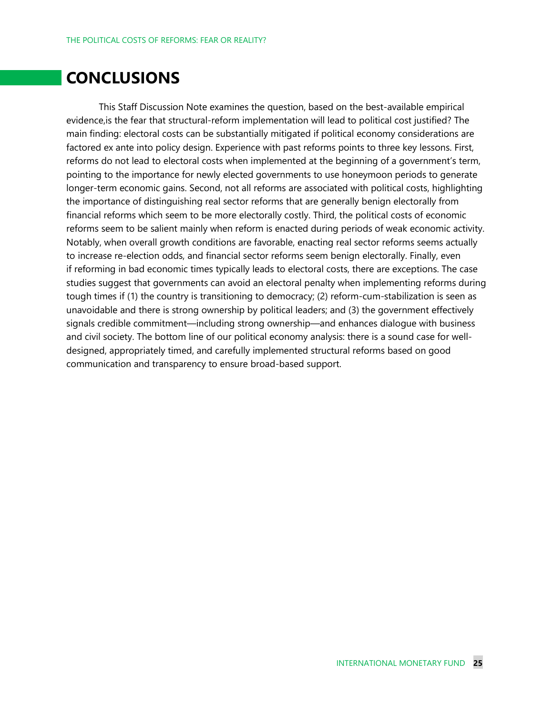### **CONCLUSIONS**

This Staff Discussion Note examines the question, based on the best-available empirical evidence,is the fear that structural-reform implementation will lead to political cost justified? The main finding: electoral costs can be substantially mitigated if political economy considerations are factored ex ante into policy design. Experience with past reforms points to three key lessons. First, reforms do not lead to electoral costs when implemented at the beginning of a government's term, pointing to the importance for newly elected governments to use honeymoon periods to generate longer-term economic gains. Second, not all reforms are associated with political costs, highlighting the importance of distinguishing real sector reforms that are generally benign electorally from financial reforms which seem to be more electorally costly. Third, the political costs of economic reforms seem to be salient mainly when reform is enacted during periods of weak economic activity. Notably, when overall growth conditions are favorable, enacting real sector reforms seems actually to increase re-election odds, and financial sector reforms seem benign electorally. Finally, even if reforming in bad economic times typically leads to electoral costs, there are exceptions. The case studies suggest that governments can avoid an electoral penalty when implementing reforms during tough times if (1) the country is transitioning to democracy; (2) reform-cum-stabilization is seen as unavoidable and there is strong ownership by political leaders; and (3) the government effectively signals credible commitment—including strong ownership—and enhances dialogue with business and civil society. The bottom line of our political economy analysis: there is a sound case for welldesigned, appropriately timed, and carefully implemented structural reforms based on good communication and transparency to ensure broad-based support.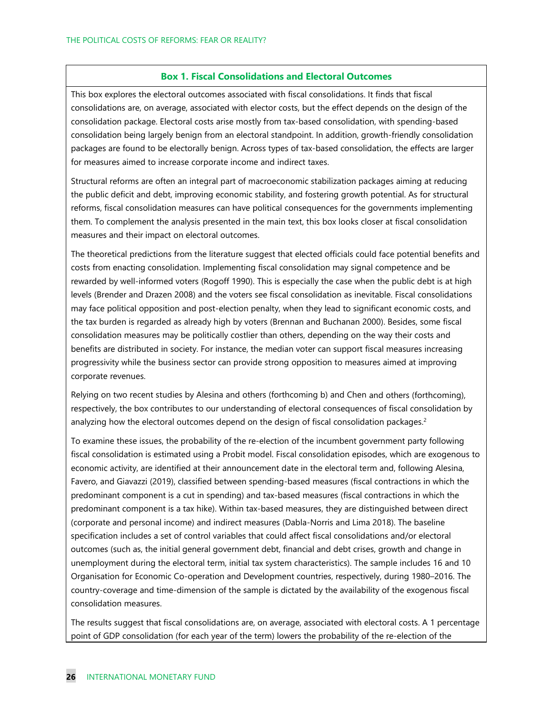#### **Box 1. Fiscal Consolidations and Electoral Outcomes**

This box explores the electoral outcomes associated with fiscal consolidations. It finds that fiscal consolidations are, on average, associated with elector costs, but the effect depends on the design of the consolidation package. Electoral costs arise mostly from tax-based consolidation, with spending-based consolidation being largely benign from an electoral standpoint. In addition, growth-friendly consolidation packages are found to be electorally benign. Across types of tax-based consolidation, the effects are larger for measures aimed to increase corporate income and indirect taxes.

Structural reforms are often an integral part of macroeconomic stabilization packages aiming at reducing the public deficit and debt, improving economic stability, and fostering growth potential. As for structural reforms, fiscal consolidation measures can have political consequences for the governments implementing them. To complement the analysis presented in the main text, this box looks closer at fiscal consolidation measures and their impact on electoral outcomes.

The theoretical predictions from the literature suggest that elected officials could face potential benefits and costs from enacting consolidation. Implementing fiscal consolidation may signal competence and be rewarded by well-informed voters (Rogoff 1990). This is especially the case when the public debt is at high levels (Brender and Drazen 2008) and the voters see fiscal consolidation as inevitable. Fiscal consolidations may face political opposition and post-election penalty, when they lead to significant economic costs, and the tax burden is regarded as already high by voters (Brennan and Buchanan 2000). Besides, some fiscal consolidation measures may be politically costlier than others, depending on the way their costs and benefits are distributed in society. For instance, the median voter can support fiscal measures increasing progressivity while the business sector can provide strong opposition to measures aimed at improving corporate revenues.

Relying on two recent studies by Alesina and others (forthcoming b) and Chen and others (forthcoming), respectively, the box contributes to our understanding of electoral consequences of fiscal consolidation by analyzing how the electoral outcomes depend on the design of fiscal consolidation packages.<sup>2</sup>

To examine these issues, the probability of the re-election of the incumbent government party following fiscal consolidation is estimated using a Probit model. Fiscal consolidation episodes, which are exogenous to economic activity, are identified at their announcement date in the electoral term and, following Alesina, Favero, and Giavazzi (2019), classified between spending-based measures (fiscal contractions in which the predominant component is a cut in spending) and tax-based measures (fiscal contractions in which the predominant component is a tax hike). Within tax-based measures, they are distinguished between direct (corporate and personal income) and indirect measures (Dabla-Norris and Lima 2018). The baseline specification includes a set of control variables that could affect fiscal consolidations and/or electoral outcomes (such as, the initial general government debt, financial and debt crises, growth and change in unemployment during the electoral term, initial tax system characteristics). The sample includes 16 and 10 Organisation for Economic Co-operation and Development countries, respectively, during 1980–2016. The country-coverage and time-dimension of the sample is dictated by the availability of the exogenous fiscal consolidation measures.

The results suggest that fiscal consolidations are, on average, associated with electoral costs. A 1 percentage point of GDP consolidation (for each year of the term) lowers the probability of the re-election of the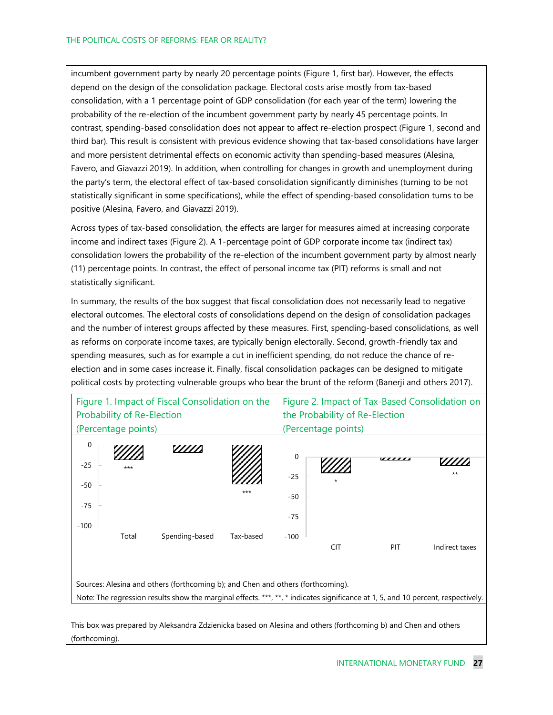incumbent government party by nearly 20 percentage points (Figure 1, first bar). However, the effects depend on the design of the consolidation package. Electoral costs arise mostly from tax-based consolidation, with a 1 percentage point of GDP consolidation (for each year of the term) lowering the probability of the re-election of the incumbent government party by nearly 45 percentage points. In contrast, spending-based consolidation does not appear to affect re-election prospect (Figure 1, second and third bar). This result is consistent with previous evidence showing that tax-based consolidations have larger and more persistent detrimental effects on economic activity than spending-based measures (Alesina, Favero, and Giavazzi 2019). In addition, when controlling for changes in growth and unemployment during the party's term, the electoral effect of tax-based consolidation significantly diminishes (turning to be not statistically significant in some specifications), while the effect of spending-based consolidation turns to be positive (Alesina, Favero, and Giavazzi 2019).

Across types of tax-based consolidation, the effects are larger for measures aimed at increasing corporate income and indirect taxes (Figure 2). A 1-percentage point of GDP corporate income tax (indirect tax) consolidation lowers the probability of the re-election of the incumbent government party by almost nearly (11) percentage points. In contrast, the effect of personal income tax (PIT) reforms is small and not statistically significant.

In summary, the results of the box suggest that fiscal consolidation does not necessarily lead to negative electoral outcomes. The electoral costs of consolidations depend on the design of consolidation packages and the number of interest groups affected by these measures. First, spending-based consolidations, as well as reforms on corporate income taxes, are typically benign electorally. Second, growth-friendly tax and spending measures, such as for example a cut in inefficient spending, do not reduce the chance of reelection and in some cases increase it. Finally, fiscal consolidation packages can be designed to mitigate political costs by protecting vulnerable groups who bear the brunt of the reform (Banerji and others 2017).



(forthcoming).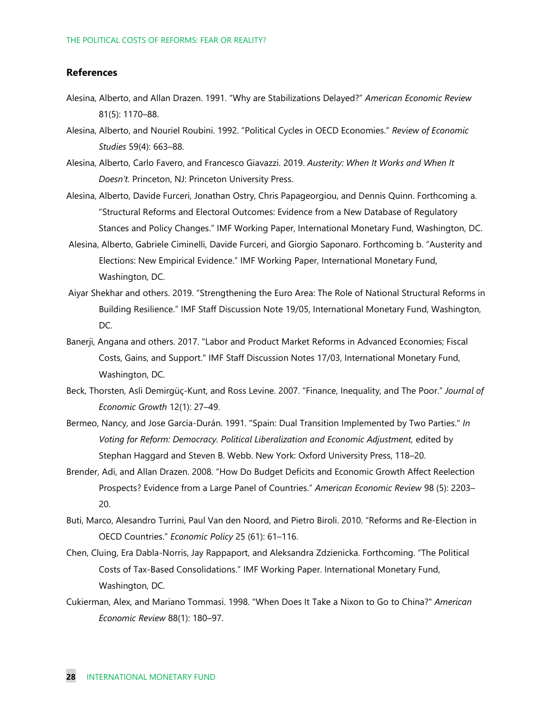#### **References**

- Alesina, Alberto, and Allan Drazen. 1991. "Why are Stabilizations Delayed?" *American Economic Review* 81(5): 1170–88.
- Alesina, Alberto, and Nouriel Roubini. 1992. "Political Cycles in OECD Economies." *Review of Economic Studies* 59(4): 663–88.
- Alesina, Alberto, Carlo Favero, and Francesco Giavazzi. 2019. *Austerity: When It Works and When It Doesn't.* Princeton, NJ: Princeton University Press.
- Alesina, Alberto, Davide Furceri, Jonathan Ostry, Chris Papageorgiou, and Dennis Quinn. Forthcoming a. "Structural Reforms and Electoral Outcomes: Evidence from a New Database of Regulatory Stances and Policy Changes." IMF Working Paper, International Monetary Fund, Washington, DC.
- Alesina, Alberto, Gabriele Ciminelli, Davide Furceri, and Giorgio Saponaro. Forthcoming b. "Austerity and Elections: New Empirical Evidence." IMF Working Paper, International Monetary Fund, Washington, DC.
- Aiyar Shekhar and others. 2019. "Strengthening the Euro Area: The Role of National Structural Reforms in Building Resilience." IMF Staff Discussion Note 19/05, International Monetary Fund, Washington, DC.
- Banerji, Angana and others. 2017. ["Labor and Product Market Reforms in Advanced Economies; Fiscal](https://ideas.repec.org/p/imf/imfsdn/17-03.html)  [Costs, Gains, and Support."](https://ideas.repec.org/p/imf/imfsdn/17-03.html) [IMF Staff Discussion Notes](https://ideas.repec.org/s/imf/imfsdn.html) 17/03, International Monetary Fund, Washington, DC.
- Beck, Thorsten, Asli Demirgüç-Kunt, and Ross Levine. 2007. "Finance, Inequality, and The Poor." *Journal of Economic Growth* 12(1): 27–49.
- Bermeo, Nancy, and Jose García-Durán. 1991. "Spain: Dual Transition Implemented by Two Parties." *In Voting for Reform: Democracy. Political Liberalization and Economic Adjustment,* edited by Stephan Haggard and Steven B. Webb. New York: Oxford University Press, 118–20.
- Brender, Adi, and Allan Drazen. 2008. "How Do Budget Deficits and Economic Growth Affect Reelection Prospects? Evidence from a Large Panel of Countries." *American Economic Review* 98 (5): 2203– 20.
- Buti, Marco, Alesandro Turrini, Paul Van den Noord, and Pietro Biroli. 2010. "Reforms and Re-Election in OECD Countries." *Economic Policy* 25 (61): 61–116.
- Chen, Cluing, Era Dabla-Norris, Jay Rappaport, and Aleksandra Zdzienicka. Forthcoming. "The Political Costs of Tax-Based Consolidations." IMF Working Paper. International Monetary Fund, Washington, DC.
- Cukierman, Alex, and Mariano Tommasi. 1998. "When Does It Take a Nixon to Go to China?" *American Economic Review* 88(1): 180–97.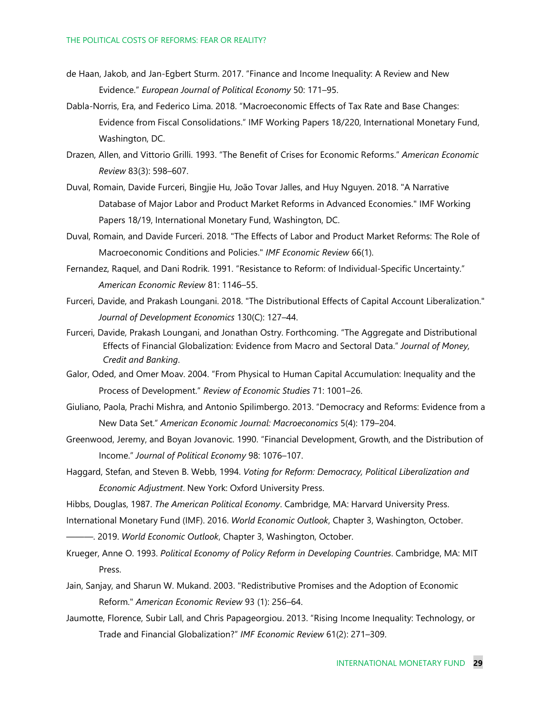- de Haan, Jakob, and Jan-Egbert Sturm. 2017. "Finance and Income Inequality: A Review and New Evidence." *European Journal of Political Economy* 50: 171–95.
- Dabla-Norris, Era, and Federico Lima. 2018. "Macroeconomic Effects of Tax Rate and Base Changes: Evidence from Fiscal Consolidations." [IMF Working Papers](https://ideas.repec.org/s/imf/imfwpa.html) 18/220, International Monetary Fund, Washington, DC.
- Drazen, Allen, and Vittorio Grilli. 1993. "The Benefit of Crises for Economic Reforms." *American Economic Review* 83(3): 598–607.
- Duval, Romain, Davide Furceri, Bingjie Hu, João Tovar Jalles, and Huy Nguyen. 2018. ["A Narrative](https://ideas.repec.org/p/imf/imfwpa/18-19.html)  [Database of Major Labor and Product Market Reforms in Advanced Economies."](https://ideas.repec.org/p/imf/imfwpa/18-19.html) [IMF Working](https://ideas.repec.org/s/imf/imfwpa.html)  [Papers](https://ideas.repec.org/s/imf/imfwpa.html) 18/19, International Monetary Fund, Washington, DC.
- Duval, Romain, and Davide Furceri. 2018. ["The Effects of Labor and Product Market Reforms: The Role of](https://ideas.repec.org/a/pal/imfecr/v66y2018i1d10.1057_s41308-017-0045-1.html)  [Macroeconomic Conditions and Policies."](https://ideas.repec.org/a/pal/imfecr/v66y2018i1d10.1057_s41308-017-0045-1.html) *[IMF Economic Review](https://ideas.repec.org/s/pal/imfecr.html)* 66(1).
- Fernandez, Raquel, and Dani Rodrik. 1991. "Resistance to Reform: of Individual-Specific Uncertainty." *American Economic Review* 81: 1146–55.
- Furceri, Davide, and Prakash Loungani. 2018. ["The Distributional Effects of Capital Account Liberalization.](https://ideas.repec.org/a/eee/deveco/v130y2018icp127-144.html)" *[Journal of Development Economics](https://ideas.repec.org/s/eee/deveco.html)* 130(C): 127–44.
- Furceri, Davide, Prakash Loungani, and Jonathan Ostry. Forthcoming. ["The Aggregate and Distributional](https://ideas.repec.org/p/imf/imfwpa/18-83.html)  [Effects of Financial Globalization: Evidence from Macro and Sectoral Data."](https://ideas.repec.org/p/imf/imfwpa/18-83.html) *Journal of Money, Credit and Banking*.
- Galor, Oded, and Omer Moav. 2004. "From Physical to Human Capital Accumulation: Inequality and the Process of Development." *Review of Economic Studies* 71: 1001–26.
- Giuliano, Paola, Prachi Mishra, and Antonio Spilimbergo. 2013. "Democracy and Reforms: Evidence from a New Data Set." *American Economic Journal: Macroeconomics* 5(4): 179–204.
- Greenwood, Jeremy, and Boyan Jovanovic. 1990. "Financial Development, Growth, and the Distribution of Income." *Journal of Political Economy* 98: 1076–107.
- Haggard, Stefan, and Steven B. Webb, 1994. *Voting for Reform: Democracy, Political Liberalization and Economic Adjustment*. New York: Oxford University Press.
- Hibbs, Douglas, 1987. *The American Political Economy*. Cambridge, MA: Harvard University Press.
- International Monetary Fund (IMF). 2016. *World Economic Outlook*, Chapter 3, Washington, October.

———. 2019. *World Economic Outlook*, Chapter 3, Washington, October.

- Krueger, Anne O. 1993. *Political Economy of Policy Reform in Developing Countries*. Cambridge, MA: MIT Press.
- Jain, Sanjay, and Sharun W. Mukand. 2003. ["Redistributive Promises and](https://ideas.repec.org/a/aea/aecrev/v93y2003i1p256-264.html) the Adoption of Economic [Reform."](https://ideas.repec.org/a/aea/aecrev/v93y2003i1p256-264.html) *[American Economic Review](https://ideas.repec.org/s/aea/aecrev.html)* 93 (1): 256–64.
- Jaumotte, Florence, Subir Lall, and Chris Papageorgiou. 2013. "Rising Income Inequality: Technology, or Trade and Financial Globalization?" *IMF Economic Review* 61(2): 271–309.